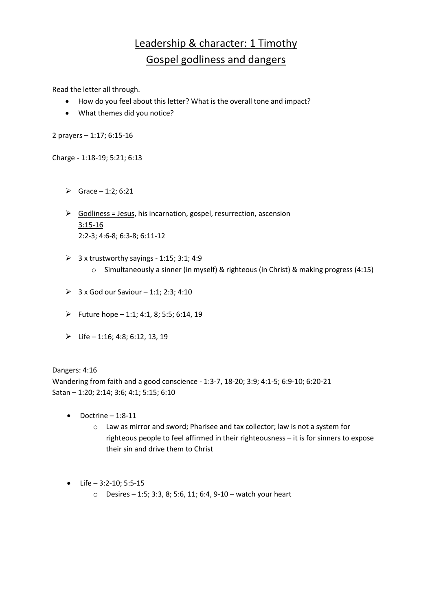# Leadership & character: 1 Timothy Gospel godliness and dangers

Read the letter all through.

- How do you feel about this letter? What is the overall tone and impact?
- What themes did you notice?

2 prayers – 1:17; 6:15-16

Charge - 1:18-19; 5:21; 6:13

- $\triangleright$  Grace 1:2; 6:21
- $\triangleright$  Godliness = Jesus, his incarnation, gospel, resurrection, ascension 3:15-16 2:2-3; 4:6-8; 6:3-8; 6:11-12
- $\geq$  3 x trustworthy sayings 1:15; 3:1; 4:9 o Simultaneously a sinner (in myself) & righteous (in Christ) & making progress (4:15)
- $\geq 3$  x God our Saviour 1:1; 2:3; 4:10
- Future hope  $-1:1$ ; 4:1, 8; 5:5; 6:14, 19
- $\triangleright$  Life 1:16; 4:8; 6:12, 13, 19

Dangers: 4:16

Wandering from faith and a good conscience - 1:3-7, 18-20; 3:9; 4:1-5; 6:9-10; 6:20-21 Satan – 1:20; 2:14; 3:6; 4:1; 5:15; 6:10

- Doctrine 1:8-11
	- o Law as mirror and sword; Pharisee and tax collector; law is not a system for righteous people to feel affirmed in their righteousness – it is for sinners to expose their sin and drive them to Christ
- $\bullet$  Life 3:2-10; 5:5-15
	- o Desires 1:5; 3:3, 8; 5:6, 11; 6:4, 9-10 watch your heart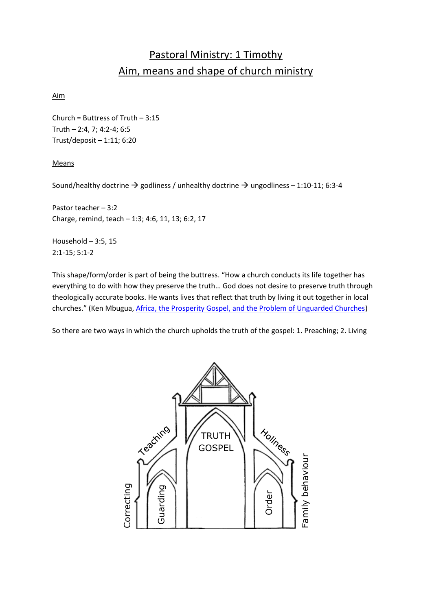# Pastoral Ministry: 1 Timothy Aim, means and shape of church ministry

### Aim

Church = Buttress of Truth – 3:15 Truth – 2:4, 7; 4:2-4; 6:5 Trust/deposit – 1:11; 6:20

#### Means

Sound/healthy doctrine  $\rightarrow$  godliness / unhealthy doctrine  $\rightarrow$  ungodliness – 1:10-11; 6:3-4

Pastor teacher – 3:2 Charge, remind, teach – 1:3; 4:6, 11, 13; 6:2, 17

Household  $-3:5, 15$ 2:1-15; 5:1-2

This shape/form/order is part of being the buttress. "How a church conducts its life together has everything to do with how they preserve the truth… God does not desire to preserve truth through theologically accurate books. He wants lives that reflect that truth by living it out together in local churches." (Ken Mbugua, [Africa, the Prosperity Gospel, and the Problem of Unguarded Churches\)](http://9marks.org/article/africa-the-prosperity-gospel-and-the-problem-of-unguarded-churches/)

So there are two ways in which the church upholds the truth of the gospel: 1. Preaching; 2. Living

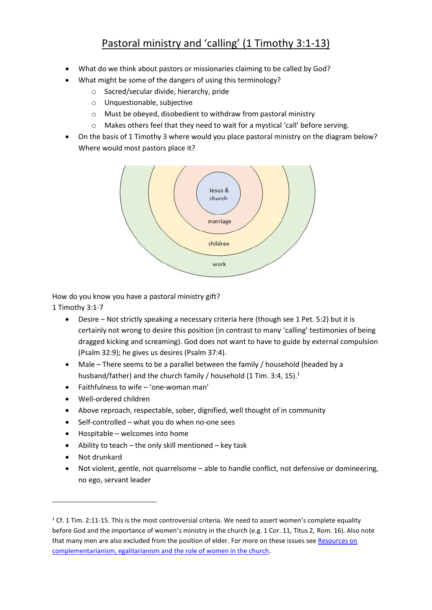## Pastoral ministry and 'calling' (1 Timothy 3:1-13)

- What do we think about pastors or missionaries claiming to be called by God?
- What might be some of the dangers of using this terminology?
	- o Sacred/secular divide, hierarchy, pride
	- o Unquestionable, subjective
	- o Must be obeyed, disobedient to withdraw from pastoral ministry
	- o Makes others feel that they need to wait for a mystical 'call' before serving.
- On the basis of 1 Timothy 3 where would you place pastoral ministry on the diagram below? Where would most pastors place it?



How do you know you have a pastoral ministry gift?

1 Timothy 3:1-7

- Desire Not strictly speaking a necessary criteria here (though see 1 Pet. 5:2) but it is certainly not wrong to desire this position (in contrast to many 'calling' testimonies of being dragged kicking and screaming). God does not want to have to guide by external compulsion (Psalm 32:9); he gives us desires (Psalm 37:4).
- Male There seems to be a parallel between the family / household (headed by a husband/father) and the church family / household (1 Tim. 3:4, 15). $^1$
- Faithfulness to wife 'one-woman man'
- Well-ordered children
- Above reproach, respectable, sober, dignified, well thought of in community
- Self-controlled what you do when no-one sees
- Hospitable welcomes into home
- Ability to teach the only skill mentioned key task
- Not drunkard

-

 Not violent, gentle, not quarrelsome – able to handle conflict, not defensive or domineering, no ego, servant leader

 $1$  Cf. 1 Tim. 2:11-15. This is the most controversial criteria. We need to assert women's complete equality before God and the importance of women's ministry in the church (e.g. 1 Cor. 11, Titus 2, Rom. 16). Also note that many men are also excluded from the position of elder. For more on these issues see Resources on [complementarianism, egalitarianism and the role of women in the church.](https://iserveafrica.files.wordpress.com/2015/12/resources-on-complementarianism-and-egalitarianism.pdf)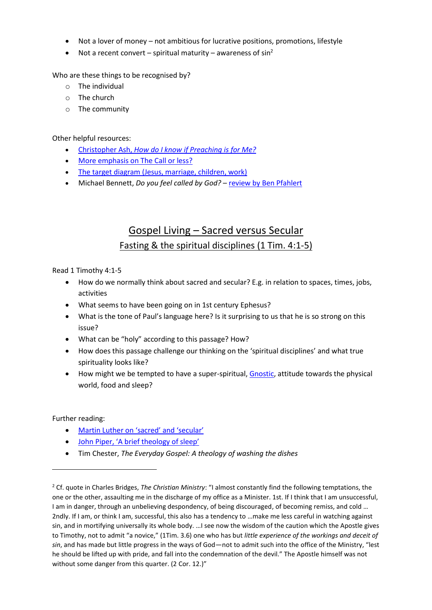- Not a lover of money not ambitious for lucrative positions, promotions, lifestyle
- Not a recent convert spiritual maturity awareness of  $sin^2$

Who are these things to be recognised by?

- o The individual
- o The church
- o The community

Other helpful resources:

- Christopher Ash, *[How do I know if Preaching is for Me?](http://www.proctrust.org.uk/dls/preachingforme.pdf)*
- [More emphasis on The Call or less?](http://watumishiwaneno.wordpress.com/2012/02/20/more-emphasis-on-the-call-or-less/)
- [The target diagram \(Jesus, marriage, children, work\)](http://watumishiwaneno.wordpress.com/2013/04/14/on-target/)
- Michael Bennett, *Do you feel called by God?* [review by Ben Pfahlert](http://matthiasmedia.com/briefing/2013/08/review-do-you-feel-called-by-god-rethinking-the-call-to-ministry/)

# Gospel Living – Sacred versus Secular Fasting & the spiritual disciplines (1 Tim. 4:1-5)

Read 1 Timothy 4:1-5

- How do we normally think about sacred and secular? E.g. in relation to spaces, times, jobs, activities
- What seems to have been going on in 1st century Ephesus?
- What is the tone of Paul's language here? Is it surprising to us that he is so strong on this issue?
- What can be "holy" according to this passage? How?
- How does this passage challenge our thinking on the 'spiritual disciplines' and what true spirituality looks like?
- How might we be tempted to have a super-spiritual, [Gnostic,](http://en.wikipedia.org/wiki/Gnosticism) attitude towards the physical world, food and sleep?

Further reading:

<u>.</u>

- [Martin Luther on 'sacred' and 'secular'](http://www.kylemcdanell.com/2013/10/martin-luther-on-secularsacred-dichotomy.html)
- [John Piper, 'A brief theology of sleep'](http://www.desiringgod.org/articles/a-brief-theology-of-sleep)
- Tim Chester, *The Everyday Gospel: A theology of washing the dishes*

<sup>2</sup> Cf. quote in Charles Bridges, *The Christian Ministry*: "I almost constantly find the following temptations, the one or the other, assaulting me in the discharge of my office as a Minister. 1st. If I think that I am unsuccessful, I am in danger, through an unbelieving despondency, of being discouraged, of becoming remiss, and cold … 2ndly. If I am, or think I am, successful, this also has a tendency to …make me less careful in watching against sin, and in mortifying universally its whole body. …I see now the wisdom of the caution which the Apostle gives to Timothy, not to admit "a novice," (1Tim. 3.6) one who has but *little experience of the workings and deceit of sin*, and has made but little progress in the ways of God—not to admit such into the office of the Ministry, "lest he should be lifted up with pride, and fall into the condemnation of the devil." The Apostle himself was not without some danger from this quarter. (2 Cor. 12.)"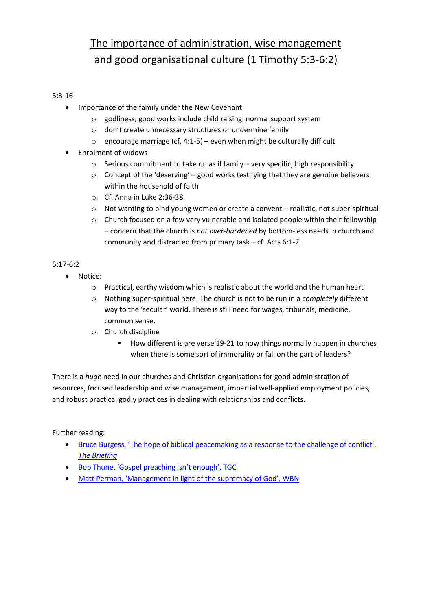# The importance of administration, wise management and good organisational culture (1 Timothy 5:3-6:2)

## 5:3-16

- Importance of the family under the New Covenant
	- o godliness, good works include child raising, normal support system
	- o don't create unnecessary structures or undermine family
	- $\circ$  encourage marriage (cf. 4:1-5) even when might be culturally difficult
- Enrolment of widows
	- o Serious commitment to take on as if family very specific, high responsibility
	- $\circ$  Concept of the 'deserving' good works testifying that they are genuine believers within the household of faith
	- o Cf. Anna in Luke 2:36-38
	- o Not wanting to bind young women or create a convent realistic, not super-spiritual
	- o Church focused on a few very vulnerable and isolated people within their fellowship – concern that the church is *not over-burdened* by bottom-less needs in church and community and distracted from primary task – cf. Acts 6:1-7

### 5:17-6:2

- Notice:
	- o Practical, earthy wisdom which is realistic about the world and the human heart
	- o Nothing super-spiritual here. The church is not to be run in a *completely* different way to the 'secular' world. There is still need for wages, tribunals, medicine, common sense.
	- o Church discipline
		- How different is are verse 19-21 to how things normally happen in churches when there is some sort of immorality or fall on the part of leaders?

There is a *huge* need in our churches and Christian organisations for good administration of resources, focused leadership and wise management, impartial well-applied employment policies, and robust practical godly practices in dealing with relationships and conflicts.

Further reading:

- [Bruce Burgess, 'The hope of biblical peacemaking as a response to the challenge of conflict',](http://matthiasmedia.com/briefing/2010/11/the-hope-of-biblical-peacemaking-as-a-response-to-the-challenge-of-conflict/)  *[The Briefing](http://matthiasmedia.com/briefing/2010/11/the-hope-of-biblical-peacemaking-as-a-response-to-the-challenge-of-conflict/)*
- [Bob Thune, 'Gospel preaching isn't enough', TGC](http://www.thegospelcoalition.org/article/gospel-preaching-isnt-enough)
- [Matt Perman, 'Management in light of the supremacy of God', WBN](http://whatsbestnext.com/2011/01/management-in-light-of-the-supremacy-of-god/)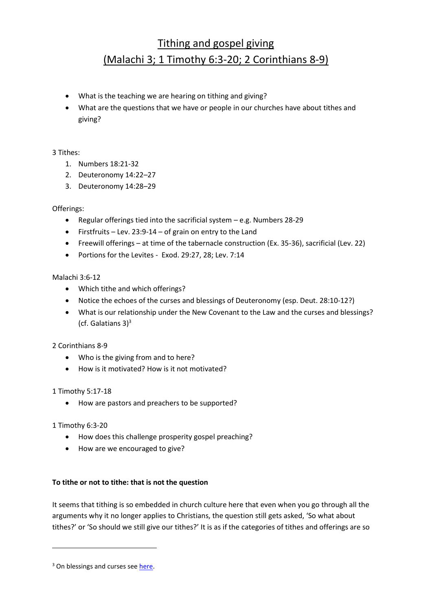# Tithing and gospel giving (Malachi 3; 1 Timothy 6:3-20; 2 Corinthians 8-9)

- What is the teaching we are hearing on tithing and giving?
- What are the questions that we have or people in our churches have about tithes and giving?

### 3 Tithes:

- 1. Numbers 18:21-32
- 2. Deuteronomy 14:22–27
- 3. Deuteronomy 14:28–29

#### Offerings:

- Regular offerings tied into the sacrificial system e.g. Numbers 28-29
- Firstfruits Lev. 23:9-14 of grain on entry to the Land
- Freewill offerings at time of the tabernacle construction (Ex. 35-36), sacrificial (Lev. 22)
- Portions for the Levites Exod. 29:27, 28; Lev. 7:14

#### Malachi 3:6-12

- Which tithe and which offerings?
- Notice the echoes of the curses and blessings of Deuteronomy (esp. Deut. 28:10-12?)
- What is our relationship under the New Covenant to the Law and the curses and blessings? (cf. Galatians  $3$ )<sup>3</sup>

### 2 Corinthians 8-9

- Who is the giving from and to here?
- How is it motivated? How is it not motivated?

### 1 Timothy 5:17-18

How are pastors and preachers to be supported?

### 1 Timothy 6:3-20

-

- How does this challenge prosperity gospel preaching?
- How are we encouraged to give?

### **To tithe or not to tithe: that is not the question**

It seems that tithing is so embedded in church culture here that even when you go through all the arguments why it no longer applies to Christians, the question still gets asked, 'So what about tithes?' or 'So should we still give our tithes?' It is as if the categories of tithes and offerings are so

<sup>&</sup>lt;sup>3</sup> On blessings and curses see [here.](http://utumishicourse.blogspot.com/2013/10/be-blessed.html)